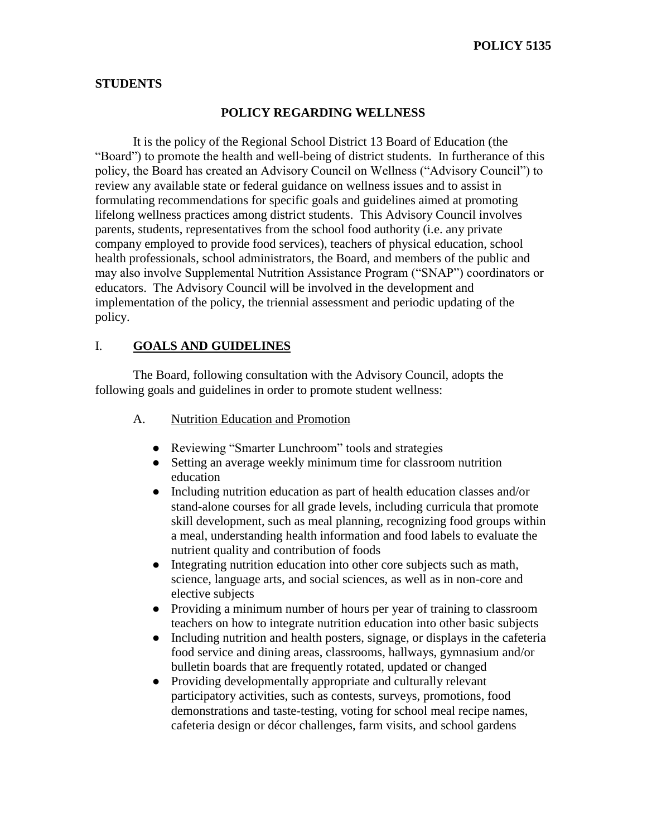### **STUDENTS**

#### **POLICY REGARDING WELLNESS**

It is the policy of the Regional School District 13 Board of Education (the "Board") to promote the health and well-being of district students. In furtherance of this policy, the Board has created an Advisory Council on Wellness ("Advisory Council") to review any available state or federal guidance on wellness issues and to assist in formulating recommendations for specific goals and guidelines aimed at promoting lifelong wellness practices among district students. This Advisory Council involves parents, students, representatives from the school food authority (i.e. any private company employed to provide food services), teachers of physical education, school health professionals, school administrators, the Board, and members of the public and may also involve Supplemental Nutrition Assistance Program ("SNAP") coordinators or educators. The Advisory Council will be involved in the development and implementation of the policy, the triennial assessment and periodic updating of the policy.

### I. **GOALS AND GUIDELINES**

The Board, following consultation with the Advisory Council, adopts the following goals and guidelines in order to promote student wellness:

- A. Nutrition Education and Promotion
	- Reviewing "Smarter Lunchroom" tools and strategies
	- Setting an average weekly minimum time for classroom nutrition education
	- Including nutrition education as part of health education classes and/or stand-alone courses for all grade levels, including curricula that promote skill development, such as meal planning, recognizing food groups within a meal, understanding health information and food labels to evaluate the nutrient quality and contribution of foods
	- Integrating nutrition education into other core subjects such as math, science, language arts, and social sciences, as well as in non-core and elective subjects
	- Providing a minimum number of hours per year of training to classroom teachers on how to integrate nutrition education into other basic subjects
	- Including nutrition and health posters, signage, or displays in the cafeteria food service and dining areas, classrooms, hallways, gymnasium and/or bulletin boards that are frequently rotated, updated or changed
	- Providing developmentally appropriate and culturally relevant participatory activities, such as contests, surveys, promotions, food demonstrations and taste-testing, voting for school meal recipe names, cafeteria design or décor challenges, farm visits, and school gardens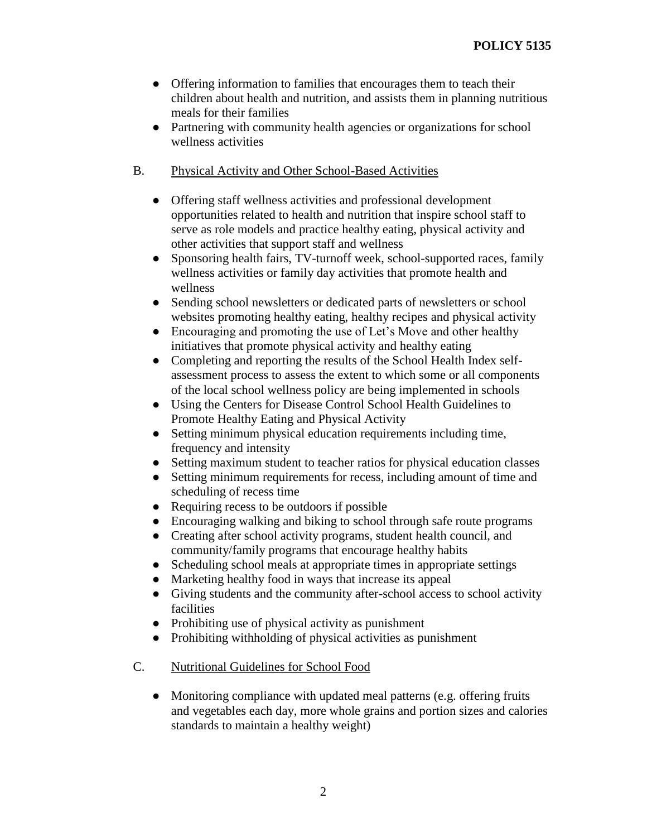- Offering information to families that encourages them to teach their children about health and nutrition, and assists them in planning nutritious meals for their families
- Partnering with community health agencies or organizations for school wellness activities
- B. Physical Activity and Other School-Based Activities
	- Offering staff wellness activities and professional development opportunities related to health and nutrition that inspire school staff to serve as role models and practice healthy eating, physical activity and other activities that support staff and wellness
	- Sponsoring health fairs, TV-turnoff week, school-supported races, family wellness activities or family day activities that promote health and wellness
	- Sending school newsletters or dedicated parts of newsletters or school websites promoting healthy eating, healthy recipes and physical activity
	- Encouraging and promoting the use of Let's Move and other healthy initiatives that promote physical activity and healthy eating
	- Completing and reporting the results of the School Health Index selfassessment process to assess the extent to which some or all components of the local school wellness policy are being implemented in schools
	- Using the Centers for Disease Control School Health Guidelines to Promote Healthy Eating and Physical Activity
	- Setting minimum physical education requirements including time, frequency and intensity
	- Setting maximum student to teacher ratios for physical education classes
	- Setting minimum requirements for recess, including amount of time and scheduling of recess time
	- Requiring recess to be outdoors if possible
	- Encouraging walking and biking to school through safe route programs
	- Creating after school activity programs, student health council, and community/family programs that encourage healthy habits
	- Scheduling school meals at appropriate times in appropriate settings
	- Marketing healthy food in ways that increase its appeal
	- Giving students and the community after-school access to school activity facilities
	- Prohibiting use of physical activity as punishment
	- Prohibiting withholding of physical activities as punishment
- C. Nutritional Guidelines for School Food
	- Monitoring compliance with updated meal patterns (e.g. offering fruits and vegetables each day, more whole grains and portion sizes and calories standards to maintain a healthy weight)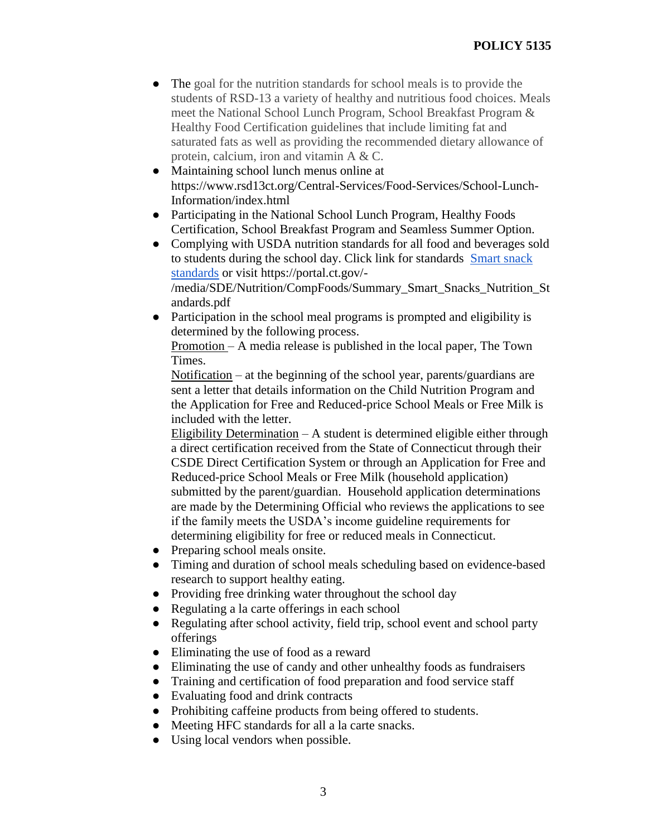- The goal for the nutrition standards for school meals is to provide the students of RSD-13 a variety of healthy and nutritious food choices. Meals meet the National School Lunch Program, School Breakfast Program & Healthy Food Certification guidelines that include limiting fat and saturated fats as well as providing the recommended dietary allowance of protein, calcium, iron and vitamin A & C.
- Maintaining school lunch menus online at https://www.rsd13ct.org/Central-Services/Food-Services/School-Lunch-Information/index.html
- Participating in the National School Lunch Program, Healthy Foods Certification, School Breakfast Program and Seamless Summer Option.
- Complying with USDA nutrition standards for all food and beverages sold to students during the school day. Click link for standards [Smart snack](https://portal.ct.gov/-/media/SDE/Nutrition/CompFoods/Summary_Smart_Snacks_Nutrition_Standards.pdf)  [standards](https://portal.ct.gov/-/media/SDE/Nutrition/CompFoods/Summary_Smart_Snacks_Nutrition_Standards.pdf) or visit https://portal.ct.gov/- /media/SDE/Nutrition/CompFoods/Summary\_Smart\_Snacks\_Nutrition\_St andards.pdf
- Participation in the school meal programs is prompted and eligibility is determined by the following process.

Promotion – A media release is published in the local paper, The Town Times.

Notification – at the beginning of the school year, parents/guardians are sent a letter that details information on the Child Nutrition Program and the Application for Free and Reduced-price School Meals or Free Milk is included with the letter.

Eligibility Determination – A student is determined eligible either through a direct certification received from the State of Connecticut through their CSDE Direct Certification System or through an Application for Free and Reduced-price School Meals or Free Milk (household application) submitted by the parent/guardian. Household application determinations are made by the Determining Official who reviews the applications to see if the family meets the USDA's income guideline requirements for determining eligibility for free or reduced meals in Connecticut.

- Preparing school meals onsite.
- Timing and duration of school meals scheduling based on evidence-based research to support healthy eating.
- Providing free drinking water throughout the school day
- Regulating a la carte offerings in each school
- Regulating after school activity, field trip, school event and school party offerings
- Eliminating the use of food as a reward
- Eliminating the use of candy and other unhealthy foods as fundraisers
- Training and certification of food preparation and food service staff
- Evaluating food and drink contracts
- Prohibiting caffeine products from being offered to students.
- Meeting HFC standards for all a la carte snacks.
- Using local vendors when possible.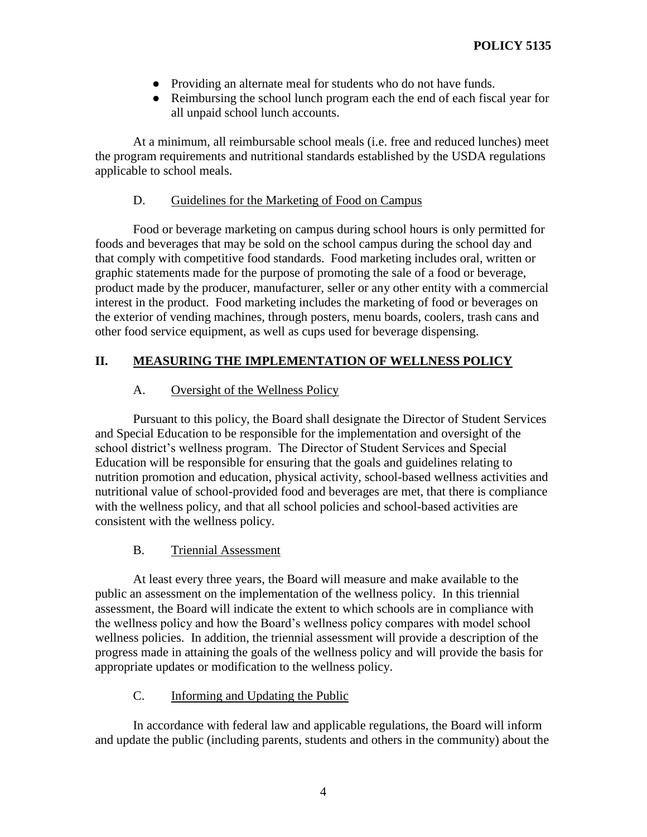- Providing an alternate meal for students who do not have funds.
- Reimbursing the school lunch program each the end of each fiscal year for all unpaid school lunch accounts.

At a minimum, all reimbursable school meals (i.e. free and reduced lunches) meet the program requirements and nutritional standards established by the USDA regulations applicable to school meals.

### D. Guidelines for the Marketing of Food on Campus

Food or beverage marketing on campus during school hours is only permitted for foods and beverages that may be sold on the school campus during the school day and that comply with competitive food standards. Food marketing includes oral, written or graphic statements made for the purpose of promoting the sale of a food or beverage, product made by the producer, manufacturer, seller or any other entity with a commercial interest in the product. Food marketing includes the marketing of food or beverages on the exterior of vending machines, through posters, menu boards, coolers, trash cans and other food service equipment, as well as cups used for beverage dispensing.

## **II. MEASURING THE IMPLEMENTATION OF WELLNESS POLICY**

## A. Oversight of the Wellness Policy

Pursuant to this policy, the Board shall designate the Director of Student Services and Special Education to be responsible for the implementation and oversight of the school district's wellness program. The Director of Student Services and Special Education will be responsible for ensuring that the goals and guidelines relating to nutrition promotion and education, physical activity, school-based wellness activities and nutritional value of school-provided food and beverages are met, that there is compliance with the wellness policy, and that all school policies and school-based activities are consistent with the wellness policy.

### B. Triennial Assessment

At least every three years, the Board will measure and make available to the public an assessment on the implementation of the wellness policy. In this triennial assessment, the Board will indicate the extent to which schools are in compliance with the wellness policy and how the Board's wellness policy compares with model school wellness policies. In addition, the triennial assessment will provide a description of the progress made in attaining the goals of the wellness policy and will provide the basis for appropriate updates or modification to the wellness policy.

### C. Informing and Updating the Public

In accordance with federal law and applicable regulations, the Board will inform and update the public (including parents, students and others in the community) about the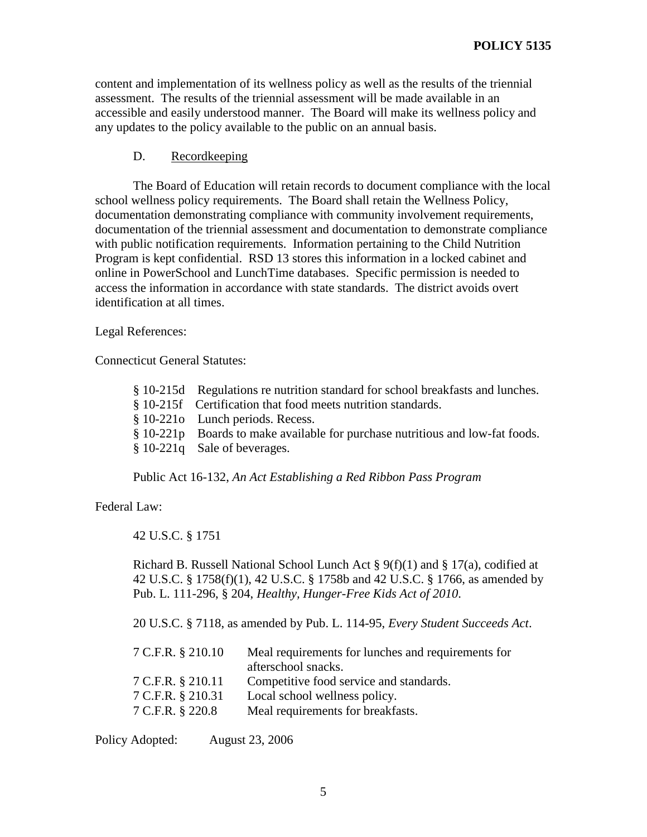content and implementation of its wellness policy as well as the results of the triennial assessment. The results of the triennial assessment will be made available in an accessible and easily understood manner. The Board will make its wellness policy and any updates to the policy available to the public on an annual basis.

### D. Recordkeeping

The Board of Education will retain records to document compliance with the local school wellness policy requirements. The Board shall retain the Wellness Policy, documentation demonstrating compliance with community involvement requirements, documentation of the triennial assessment and documentation to demonstrate compliance with public notification requirements. Information pertaining to the Child Nutrition Program is kept confidential. RSD 13 stores this information in a locked cabinet and online in PowerSchool and LunchTime databases. Specific permission is needed to access the information in accordance with state standards. The district avoids overt identification at all times.

Legal References:

Connecticut General Statutes:

| § 10-215d Regulations re nutrition standard for school breakfasts and lunches. |
|--------------------------------------------------------------------------------|
| § 10-215f Certification that food meets nutrition standards.                   |
| $§$ 10-221 $\sigma$ Lunch periods. Recess.                                     |
| § 10-221p Boards to make available for purchase nutritious and low-fat foods.  |
| $§ 10-221q$ Sale of beverages.                                                 |
|                                                                                |

Public Act 16-132, *An Act Establishing a Red Ribbon Pass Program*

Federal Law:

42 U.S.C. § 1751

Richard B. Russell National School Lunch Act  $\S 9(f)(1)$  and  $\S 17(a)$ , codified at 42 U.S.C. § 1758(f)(1), 42 U.S.C. § 1758b and 42 U.S.C. § 1766, as amended by Pub. L. 111-296, § 204, *Healthy, Hunger-Free Kids Act of 2010*.

20 U.S.C. § 7118, as amended by Pub. L. 114-95, *Every Student Succeeds Act*.

| 7 C.F.R. § 210.10 | Meal requirements for lunches and requirements for |
|-------------------|----------------------------------------------------|
|                   | afterschool snacks.                                |
| 7 C.F.R. § 210.11 | Competitive food service and standards.            |
| 7 C.F.R. § 210.31 | Local school wellness policy.                      |
| 7 C.F.R. § 220.8  | Meal requirements for breakfasts.                  |

Policy Adopted: August 23, 2006